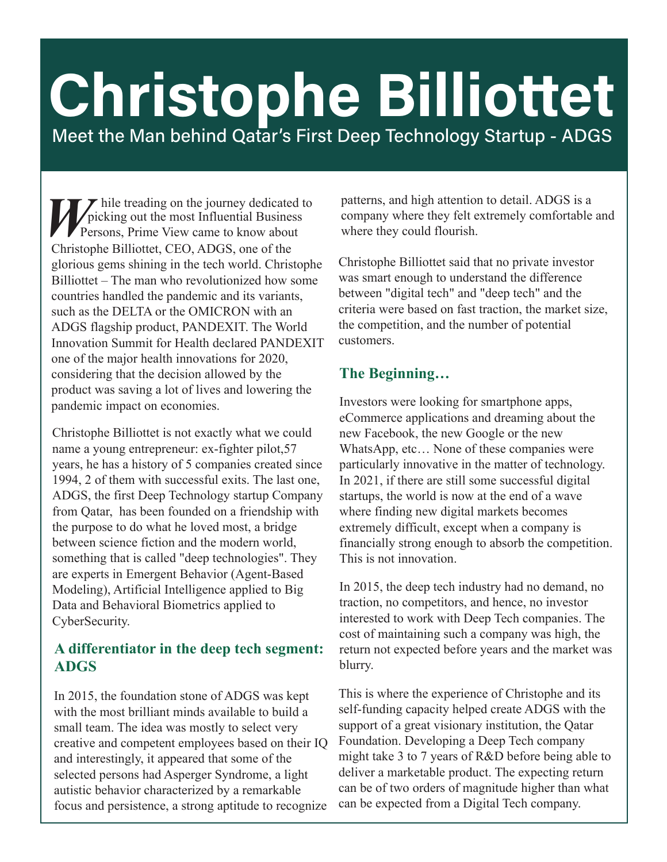# Meet the Man behind Qatar's First Deep Technology Startup - ADGS Christophe Billiottet

*W* hile treading on the journey dedicated to picking out the most Influential Business<br>Persons, Prime View came to know about picking out the most Influential Business **Persons, Prime View came to know about** Christophe Billiottet, CEO, ADGS, one of the glorious gems shining in the tech world. Christophe Billiottet – The man who revolutionized how some countries handled the pandemic and its variants, such as the DELTA or the OMICRON with an ADGS flagship product, PANDEXIT. The World Innovation Summit for Health declared PANDEXIT one of the major health innovations for 2020, considering that the decision allowed by the product was saving a lot of lives and lowering the pandemic impact on economies.

Christophe Billiottet is not exactly what we could name a young entrepreneur: ex-fighter pilot,57 years, he has a history of 5 companies created since 1994, 2 of them with successful exits. The last one, ADGS, the first Deep Technology startup Company from Qatar, has been founded on a friendship with the purpose to do what he loved most, a bridge between science fiction and the modern world, something that is called "deep technologies". They are experts in Emergent Behavior (Agent-Based Modeling), Artificial Intelligence applied to Big Data and Behavioral Biometrics applied to CyberSecurity.

### **A differentiator in the deep tech segment: ADGS**

In 2015, the foundation stone of ADGS was kept with the most brilliant minds available to build a small team. The idea was mostly to select very creative and competent employees based on their IQ and interestingly, it appeared that some of the selected persons had Asperger Syndrome, a light autistic behavior characterized by a remarkable focus and persistence, a strong aptitude to recognize

patterns, and high attention to detail. ADGS is a company where they felt extremely comfortable and where they could flourish.

Christophe Billiottet said that no private investor was smart enough to understand the difference between "digital tech" and "deep tech" and the criteria were based on fast traction, the market size, the competition, and the number of potential customers.

#### **The Beginning…**

Investors were looking for smartphone apps, eCommerce applications and dreaming about the new Facebook, the new Google or the new WhatsApp, etc… None of these companies were particularly innovative in the matter of technology. In 2021, if there are still some successful digital startups, the world is now at the end of a wave where finding new digital markets becomes extremely difficult, except when a company is financially strong enough to absorb the competition. This is not innovation.

In 2015, the deep tech industry had no demand, no traction, no competitors, and hence, no investor interested to work with Deep Tech companies. The cost of maintaining such a company was high, the return not expected before years and the market was blurry.

This is where the experience of Christophe and its self-funding capacity helped create ADGS with the support of a great visionary institution, the Qatar Foundation. Developing a Deep Tech company might take 3 to 7 years of R&D before being able to deliver a marketable product. The expecting return can be of two orders of magnitude higher than what can be expected from a Digital Tech company.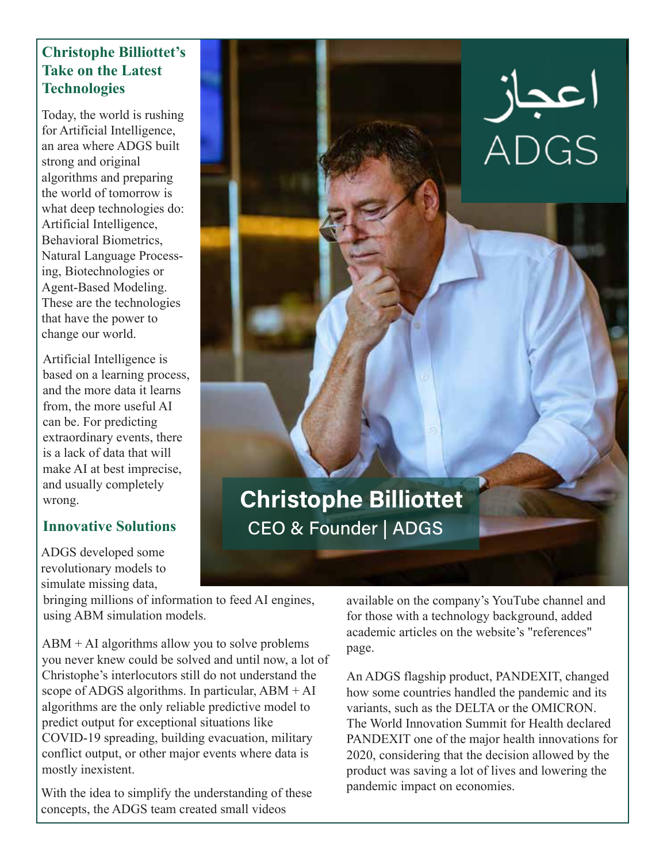## **Christophe Billiottet's Take on the Latest Technologies**

Today, the world is rushing for Artificial Intelligence, an area where ADGS built strong and original algorithms and preparing the world of tomorrow is what deep technologies do: Artificial Intelligence, Behavioral Biometrics, Natural Language Processing, Biotechnologies or Agent-Based Modeling. These are the technologies that have the power to change our world.

Artificial Intelligence is based on a learning process, and the more data it learns from, the more useful AI can be. For predicting extraordinary events, there is a lack of data that will make AI at best imprecise, and usually completely wrong.

## **Innovative Solutions**

ADGS developed some revolutionary models to simulate missing data,

bringing millions of information to feed AI engines, using ABM simulation models.

 $ABM + AI$  algorithms allow you to solve problems you never knew could be solved and until now, a lot of Christophe's interlocutors still do not understand the scope of ADGS algorithms. In particular,  $ABM + AI$ algorithms are the only reliable predictive model to predict output for exceptional situations like COVID-19 spreading, building evacuation, military conflict output, or other major events where data is mostly inexistent.

With the idea to simplify the understanding of these pandemic impact on economies. concepts, the ADGS team created small videos

available on the company's YouTube channel and for those with a technology background, added academic articles on the website's "references" page.

An ADGS flagship product, PANDEXIT, changed how some countries handled the pandemic and its variants, such as the DELTA or the OMICRON. The World Innovation Summit for Health declared PANDEXIT one of the major health innovations for 2020, considering that the decision allowed by the product was saving a lot of lives and lowering the